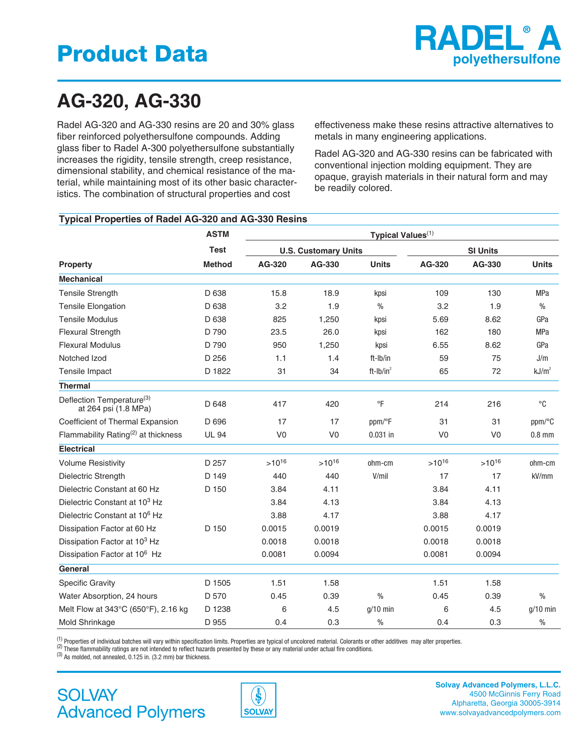

# **AG-320, AG-330**

Radel AG-320 and AG-330 resins are 20 and 30% glass fiber reinforced polyethersulfone compounds. Adding glass fiber to Radel A-300 polyethersulfone substantially increases the rigidity, tensile strength, creep resistance, dimensional stability, and chemical resistance of the material, while maintaining most of its other basic characteristics. The combination of structural properties and cost

effectiveness make these resins attractive alternatives to metals in many engineering applications.

Radel AG-320 and AG-330 resins can be fabricated with conventional injection molding equipment. They are opaque, grayish materials in their natural form and may be readily colored.

#### **Typical Properties of Radel AG-320 and AG-330 Resins**

| <b>Property</b>                                   | <b>ASTM</b><br><b>Test</b><br><b>Method</b> | Typical Values <sup>(1)</sup> |                |               |                 |                |                        |
|---------------------------------------------------|---------------------------------------------|-------------------------------|----------------|---------------|-----------------|----------------|------------------------|
|                                                   |                                             | <b>U.S. Customary Units</b>   |                |               | <b>SI Units</b> |                |                        |
|                                                   |                                             | AG-320                        | AG-330         | <b>Units</b>  | AG-320          | AG-330         | <b>Units</b>           |
| <b>Mechanical</b>                                 |                                             |                               |                |               |                 |                |                        |
| <b>Tensile Strength</b>                           | D 638                                       | 15.8                          | 18.9           | kpsi          | 109             | 130            | <b>MPa</b>             |
| <b>Tensile Elongation</b>                         | D 638                                       | 3.2                           | 1.9            | $\frac{0}{0}$ | 3.2             | 1.9            | $\frac{0}{0}$          |
| <b>Tensile Modulus</b>                            | D 638                                       | 825                           | 1,250          | kpsi          | 5.69            | 8.62           | GPa                    |
| <b>Flexural Strength</b>                          | D 790                                       | 23.5                          | 26.0           | kpsi          | 162             | 180            | <b>MPa</b>             |
| <b>Flexural Modulus</b>                           | D 790                                       | 950                           | 1,250          | kpsi          | 6.55            | 8.62           | GPa                    |
| Notched Izod                                      | D 256                                       | 1.1                           | 1.4            | ft-Ib/in      | 59              | 75             | J/m                    |
| Tensile Impact                                    | D 1822                                      | 31                            | 34             | ft- $Ib/in^2$ | 65              | 72             | kJ/m <sup>2</sup>      |
| <b>Thermal</b>                                    |                                             |                               |                |               |                 |                |                        |
| Deflection Temperature(3)<br>at 264 psi (1.8 MPa) | D 648                                       | 417                           | 420            | $\circ$ F     | 214             | 216            | $^{\circ}C$            |
| Coefficient of Thermal Expansion                  | D 696                                       | 17                            | 17             | ppm/°F        | 31              | 31             | $ppm$ <sup>o</sup> $C$ |
| Flammability Rating <sup>(2)</sup> at thickness   | <b>UL 94</b>                                | V <sub>0</sub>                | V <sub>0</sub> | $0.031$ in    | V <sub>0</sub>  | V <sub>0</sub> | $0.8$ mm               |
| <b>Electrical</b>                                 |                                             |                               |                |               |                 |                |                        |
| <b>Volume Resistivity</b>                         | D 257                                       | $>10^{16}$                    | $>10^{16}$     | ohm-cm        | $>10^{16}$      | $>10^{16}$     | ohm-cm                 |
| Dielectric Strength                               | D 149                                       | 440                           | 440            | V/mil         | 17              | 17             | kV/mm                  |
| Dielectric Constant at 60 Hz                      | D 150                                       | 3.84                          | 4.11           |               | 3.84            | 4.11           |                        |
| Dielectric Constant at 10 <sup>3</sup> Hz         |                                             | 3.84                          | 4.13           |               | 3.84            | 4.13           |                        |
| Dielectric Constant at 10 <sup>6</sup> Hz         |                                             | 3.88                          | 4.17           |               | 3.88            | 4.17           |                        |
| Dissipation Factor at 60 Hz                       | D 150                                       | 0.0015                        | 0.0019         |               | 0.0015          | 0.0019         |                        |
| Dissipation Factor at 10 <sup>3</sup> Hz          |                                             | 0.0018                        | 0.0018         |               | 0.0018          | 0.0018         |                        |
| Dissipation Factor at 10 <sup>6</sup> Hz          |                                             | 0.0081                        | 0.0094         |               | 0.0081          | 0.0094         |                        |
| General                                           |                                             |                               |                |               |                 |                |                        |
| <b>Specific Gravity</b>                           | D 1505                                      | 1.51                          | 1.58           |               | 1.51            | 1.58           |                        |
| Water Absorption, 24 hours                        | D 570                                       | 0.45                          | 0.39           | $\frac{0}{0}$ | 0.45            | 0.39           | $\frac{0}{0}$          |
| Melt Flow at 343°C (650°F), 2.16 kg               | D 1238                                      | 6                             | 4.5            | $g/10$ min    | 6               | 4.5            | $g/10$ min             |
| Mold Shrinkage                                    | D 955                                       | 0.4                           | 0.3            | $\frac{0}{0}$ | 0.4             | 0.3            | $\frac{0}{0}$          |

(1) Properties of individual batches will vary within specification limits. Properties are typical of uncolored material. Colorants or other additives may alter properties.<br>(2) These flammability ratings are not intended



**Solvay Advanced Polymers, L.L.C.** 4500 McGinnis Ferry Road Alpharetta, Georgia 30005-3914 www.solvayadvancedpolymers.com